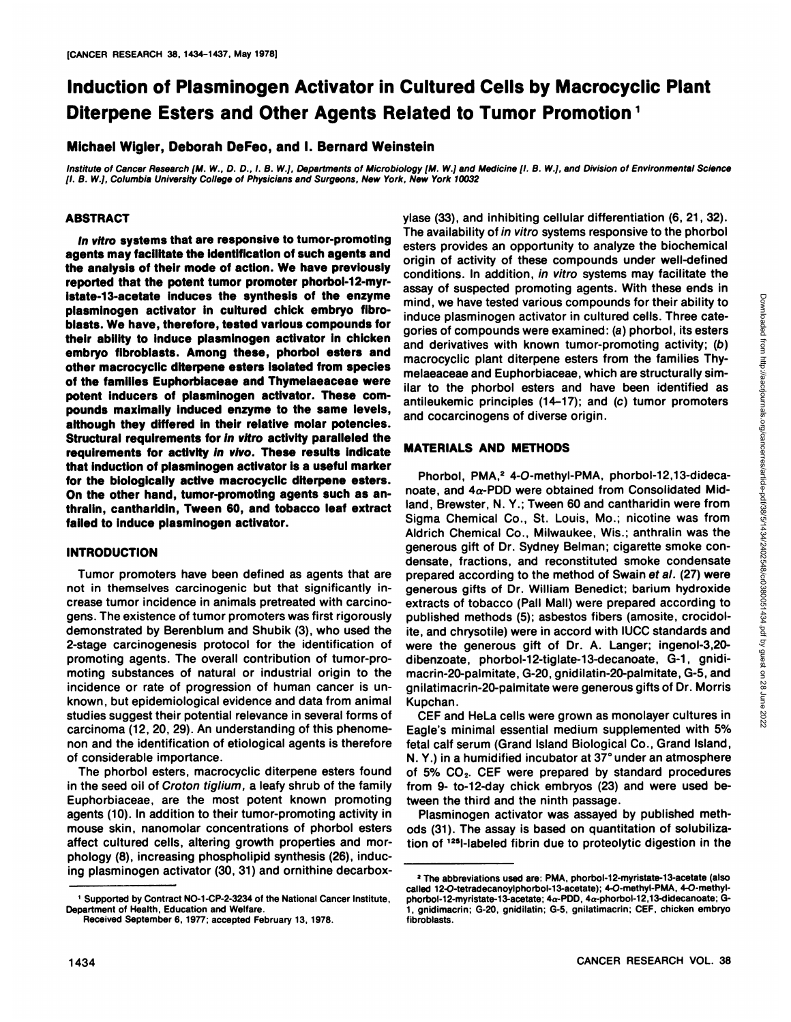# **Induction of Plasminogen Activator in Cultured Cells by Macrocyclic Plant Diterpene Esters and Other Agents Related to Tumor Promotion<sup>1</sup>**

**Michael Wigler, Deborah DeFeo, and I. Bernard Weinstein**

Institute of Cancer Research [M. W., D. D., I. B. W.], Departments of Microbiology [M. W.] and Medicine [I. B. W.], and Division of Environmental Science ¡I.B. W.], Columbia University College of Physicians and Surgeons, New York, New York 10032

## **ABSTRACT**

**In vitro systems that are responsive to tumor-promoting agents may facilitate the identification of such agents and the analysis of their mode of action. We have previously reported that the potent tumor promoter phorbol-12-myristate-13-acetate induces the synthesis of the enzyme plasminogen activator in cultured chick embryo fibroblasts. We have, therefore, tested various compounds for their ability to induce plasminogen activator in chicken embryo fibroblasts. Among these, phorbol esters and other macrocyclic diterpene esters isolated from species of the families Euphorbiaceae and Thymelaeaceae were potent inducers of plasminogen activator. These com pounds maximally induced enzyme to the same levels, although they differed in their relative molar potencies. Structural requirements for in vitro activity paralleled the requirements for activity in vivo. These results indicate that induction of plasminogen activator is a useful marker for the biologically active macrocyclic diterpene esters. On the other hand, tumor-promoting agents such as anthralin, cantharidin, Tween 60, and tobacco leaf extract failed to induce plasminogen activator.**

# **INTRODUCTION**

Tumor promoters have been defined as agents that are not in themselves carcinogenic but that significantly in crease tumor incidence in animals pretreated with carcino gens. The existence of tumor promoters was first rigorously demonstrated by Berenblum and Shubik (3), who used the 2-stage carcinogenesis protocol for the identification of promoting agents. The overall contribution of tumor-pro moting substances of natural or industrial origin to the incidence or rate of progression of human cancer is unknown, but epidemiological evidence and data from animal studies suggest their potential relevance in several forms of carcinoma (12, 20, 29). An understanding of this phenome non and the identification of etiological agents is therefore of considerable importance.

The phorbol esters, macrocyclic diterpene esters found in the seed oil of Croton tiglium, a leafy shrub of the family Euphorbiaceae, are the most potent known promoting agents (10). In addition to their tumor-promoting activity in mouse skin, nanomolar concentrations of phorbol esters affect cultured cells, altering growth properties and mor phology (8), increasing phospholipid synthesis (26), induc ing plasminogen activator (30, 31) and ornithine decarboxylase (33), and inhibiting cellular differentiation (6, 21, 32). The availability of in vitro systems responsive to the phorbol esters provides an opportunity to analyze the biochemical origin of activity of these compounds under well-defined conditions. In addition, in vitro systems may facilitate the mind, we have tested various compounds for their ability to induce plasminogen activator in cultured cells. Three cate gories of compounds were examined: (a) phorbol, its esters and derivatives with known tumor-promoting activity; (b) macrocyclic plant diterpene esters from the families Thy melaeaceae and Euphorbiaceae, which are structurally sim ilar to the phorbol esters and have been identified as antileukemic principles (14-17); and (c) tumor promoters and cocarcinogens of diverse origin.

## **MATERIALS AND METHODS**

assay of suspected promoting agents. With these ends in<br>midd, we have tested various compounds for their ability to<br>induce plasminogen activator in cultured cells. Three cate-<br>gories of compounds were examined: (a) phorbo Phorbol, PMA,<sup>2</sup> 4-O-methyl-PMA, phorbol-12,13-didecanoate, and  $4\alpha$ -PDD were obtained from Consolidated Midland, Brewster, N. Y.; Tween 60 and cantharidin were from Sigma Chemical Co., St. Louis, Mo.; nicotine was from Aldrich Chemical Co., Milwaukee, Wis.; anthralin was the generous gift of Dr. Sydney Belman; cigarette smoke con densate, fractions, and reconstituted smoke condensate prepared according to the method of Swain ef al. (27) were generous gifts of Dr. William Benedict; barium hydroxide extracts of tobacco (Pall Mall) were prepared according to published methods (5); asbestos fibers (amosite, crocidolite, and chrysotile) were in accord with IUCC standards and were the generous gift of Dr. A. Langer; ingenol-3,20 dibenzoate, phorbol-12-tiglate-13-decanoate, G-1, gnidimacrin-20-palmitate, G-20, gnidilatin-20-palmitate, G-5, and gnilatimacrin-20-palmitate were generous gifts of Dr. Morris Kupchan.

CEF and HeLa cells were grown as monolayer cultures in  $\frac{80}{100}$ Eagle's minimal essential medium supplemented with 5% fetal calf serum (Grand Island Biological Co., Grand Island, N. Y.) in a humidified incubator at 37° under an atmosphere of 5%  $CO<sub>2</sub>$ . CEF were prepared by standard procedures from 9- to-12-day chick embryos (23) and were used be tween the third and the ninth passage.

Plasminogen activator was assayed by published meth ods (31). The assay is based on quantitation of solubilization of <sup>125</sup>l-labeled fibrin due to proteolytic digestion in the

<sup>&#</sup>x27; Supported by Contract NO-1-CP-2-3234 of the National Cancer Institute, Department of Health. Education and Welfare.

Received September 6, 1977; accepted February 13, 1978.

<sup>2</sup>The abbreviations used are: PMA, phorbol-12-myristate-13-acetate (also called 12-O-tetradecanoylphorbol-13-acetate); 4-O-methyl-PMA, 4-O-methylphorbol-12-myristate-13-acetate;  $4\alpha$ -PDD,  $4\alpha$ -phorbol-12,13-didecanoate; G-1, gnidimacrin; G-20, gnidilatin; G-5, gnilatimacrin; CEF, chicken embryo fibroblasts.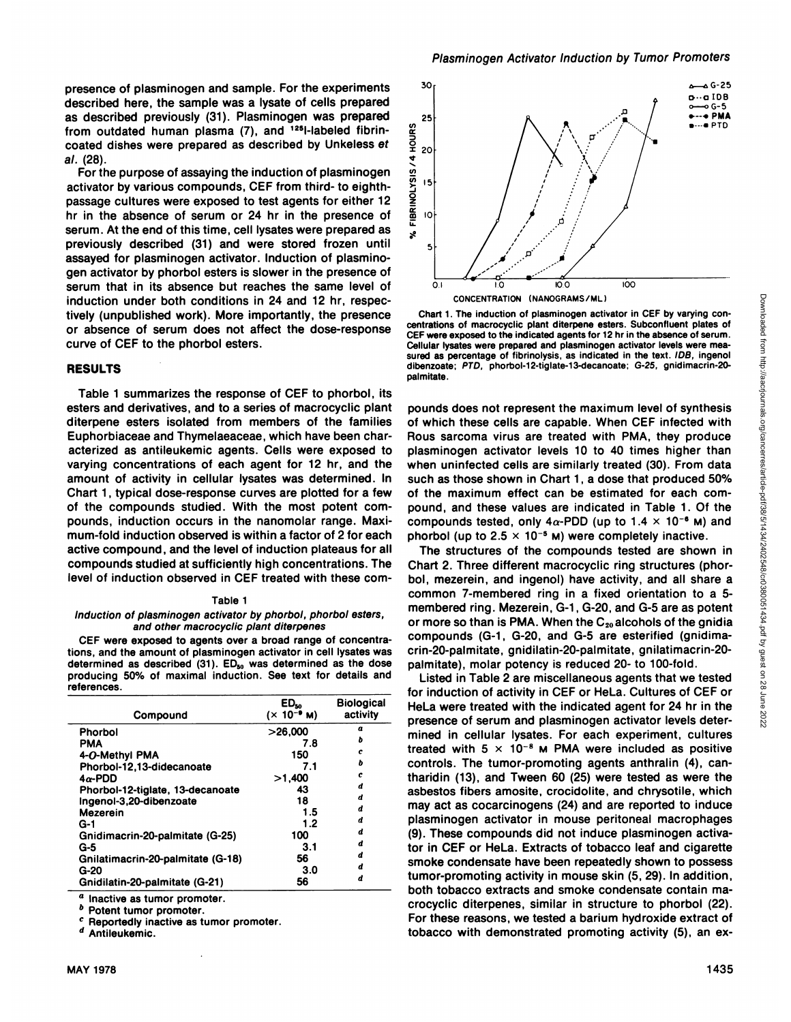presence of plasminogen and sample. For the experiments  $30$ described here, the sample was a lysate of cells prepared as described previously (31). Plasminogen was prepared<br>from outdated human plasma (7), and <sup>125</sup>l-labeled fibrin-<br>coated dishes were prepared as described by Unkeless et<br> $\frac{3}{2}$  al. (28).<br>For the purpose of assaying the from outdated human plasma  $(7)$ , and  $1251$ -labeled fibrincoated dishes were prepared as described by Unkeless et  $\frac{3}{2}$  <sub>20</sub> al. (28).

For the purpose of assaying the induction of plasminogen  $\frac{\omega}{2}$  is<br>tive to the various compounds. CEE from third, to eighth. activator by various compounds, CEF from third- to eighthpassage cultures were exposed to test agents for either 12  $\frac{2}{5}$ <br>hr in the absence of serum or 24 hr in the presence of hr in the absence of serum or 24 hr in the presence of serum. At the end of this time, cell lysates were prepared as previously described (31) and were stored frozen until assayed for plasminogen activator. Induction of plasmino gen activator by phorbol esters is slower in the presence of serum that in its absence but reaches the same level of induction under both conditions in 24 and 12 hr, respec tively (unpublished work). More importantly, the presence or absence of serum does not affect the dose-response curve of CEF to the phorbol esters.

# **RESULTS**

Table 1 summarizes the response of CEF to phorbol, its esters and derivatives, and to a series of macrocyclic plant diterpene esters isolated from members of the families Euphorbiaceae and Thymelaeaceae, which have been char acterized as antileukemic agents. Cells were exposed to varying concentrations of each agent for 12 hr, and the amount of activity in cellular lysates was determined. In Chart 1, typical dose-response curves are plotted fora few of the compounds studied. With the most potent com pounds, induction occurs in the nanomolar range. Maxi mum-fold induction observed is within a factor of 2 for each active compound, and the level of induction plateaus for all compounds studied at sufficiently high concentrations. The level of induction observed in CEF treated with these com-

#### Table 1

#### Induction of plasminogen activator by phorbol, phorbol esters, and other macrocyclic plant diterpenes

CEF were exposed to agents over a broad range of concentra tions, and the amount of plasminogen activator in cell lysates was determined as described (31).  $ED_{50}$  was determined as the dose producing 50% of maximal induction. See text for details and references.

| Compound                          | $ED_{so}$<br>$(x 10^{-9} M)$ | <b>Biological</b><br>activity |
|-----------------------------------|------------------------------|-------------------------------|
| <b>Phorbol</b>                    | >26.000                      | a                             |
| PMA                               | 7.8                          | ь                             |
| 4-O-Methyl PMA                    | 150                          | c                             |
| Phorbol-12,13-didecanoate         | 7.1                          | ь                             |
| $4\alpha$ -PDD                    | >1.400                       | c                             |
| Phorbol-12-tiglate, 13-decanoate  | 43                           | d                             |
| Ingenol-3,20-dibenzoate           | 18                           | d                             |
| <b>Mezerein</b>                   | 1.5                          | d                             |
| G-1                               | 1.2                          | d                             |
| Gnidimacrin-20-palmitate (G-25)   | 100                          | d                             |
| G-5                               | 3.1                          | d                             |
| Gnilatimacrin-20-palmitate (G-18) | 56                           | d                             |
| G-20                              | 3.0                          | d                             |
| Gnidilatin-20-palmitate (G-21)    | 56                           | d                             |

Inactive as tumor promoter.

**b** Potent tumor promoter.

Reportedly inactive as tumor promoter. Antileukemic.



CONCENTRATION (NANOGRAMS/ML)

centrations of macrocyclic plant diterpene esters. Subconfluent plates of CEF were exposed to the indicated agents for 12 hr in the absence of serum. Cellular lysates were prepared and plasminogen activator levels were mea sured as percentage of fibrinolysis, as indicated in the text. IDB, ingenol dibenzoate; PTD, phorbol-12-tiglate-13-decanoate; G-25, gnidimacrin-20 palmitate.

Chart The induction (NANoGRAMS/ML)<br>Chart 1. The induction of plasminogen activator in CEF by varying con-<br>
Chart I. The induction of plasminogen activator in CEF by varying con-<br>
The wave serosed of the inducted agents for pounds does not represent the maximum level of synthesis of which these cells are capable. When CEF infected with Rous sarcoma virus are treated with PMA, they produce plasminogen activator levels 10 to 40 times higher than when uninfected cells are similarly treated (30). From data such as those shown in Chart 1, a dose that produced 50% of the maximum effect can be estimated for each com pound, and these values are indicated in Table 1. Of the compounds tested, only  $4\alpha$ -PDD (up to 1.4  $\times$  10<sup>-6</sup> M) and phorbol (up to  $2.5 \times 10^{-5}$  M) were completely inactive.

The structures of the compounds tested are shown in Chart 2. Three different macrocyclic ring structures (phor bol, mezerein, and ingenol) have activity, and all share a common 7-membered ring in a fixed orientation to a 5 membered ring. Mezerein, G-1, G-20, and G-5 are as potent or more so than is PMA. When the  $C_{20}$  alcohols of the gnidia compounds (G-1, G-20, and G-5 are esterified (gnidimacrin-20-palmitate, gnidilatin-20-palmitate, gnilatimacrin-20 palmitate), molar potency is reduced 20- to 100-fold.

Phorbol-12-tiglate, 13-decanoate and 43 decays asbestos fibers amosite, crocidolite, and chrysotile, which  $\text{ED}_{50}$  Biological HeLa were treated with the indicated agent for 24 hr in the  $\frac{5}{8}$ 1,400  $\epsilon$  tharidin (13), and Tween 60 (25) were tested as were the Listed in Table 2 are miscellaneous agents that we tested for induction of activity in CEF or HeLa. Cultures of CEF or presence of serum and plasminogen activator levels determined in cellular lysates. For each experiment, cultures treated with  $5 \times 10^{-8}$  M PMA were included as positive controls. The tumor-promoting agents anthralin (4), canmay act as cocarcinogens (24) and are reported to induce plasminogen activator in mouse peritoneal macrophages (9). These compounds did not induce plasminogen activa tor in CEF or HeLa. Extracts of tobacco leaf and cigarette smoke condensate have been repeatedly shown to possess tumor-promoting activity in mouse skin (5, 29). In addition, both tobacco extracts and smoke condensate contain ma crocyclic diterpenes, similar in structure to phorbol (22). For these reasons, we tested a barium hydroxide extract of tobacco with demonstrated promoting activity (5), an ex-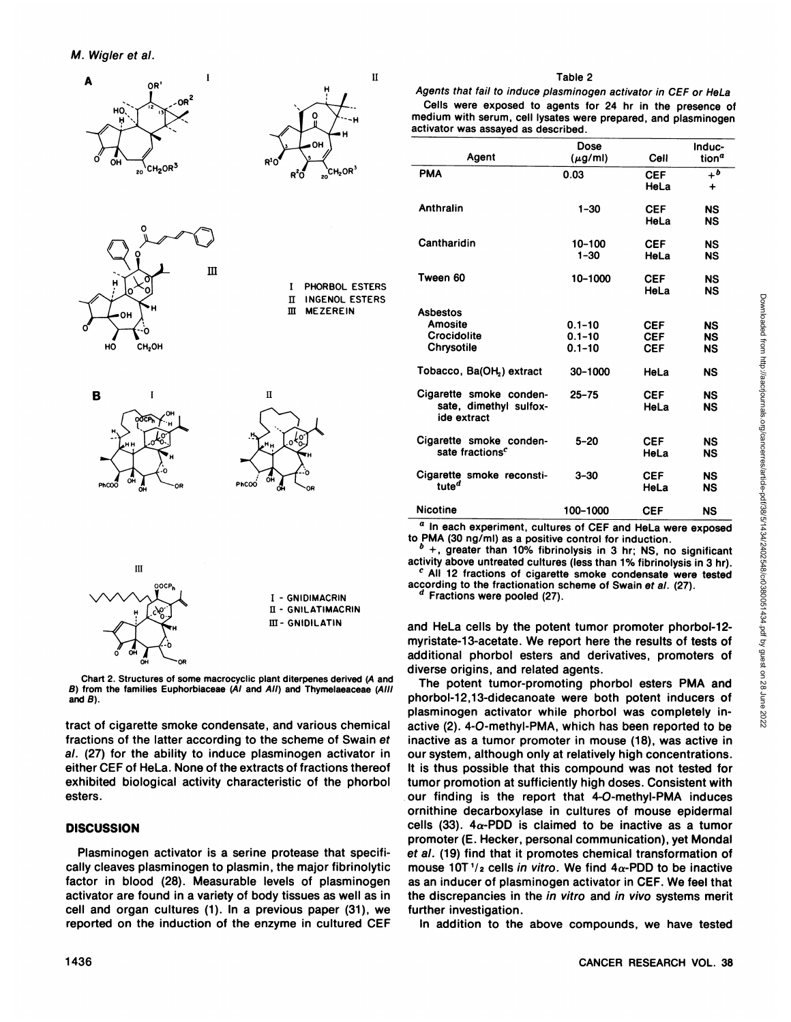



tract of cigarette smoke condensate, and various chemical fractions of the latter according to the scheme of Swain et al. (27) for the ability to induce plasminogen activator in either CEF of HeLa. None of the extracts of fractions thereof exhibited biological activity characteristic of the phorbol esters.

# **DISCUSSION**

Plasminogen activator is a serine protease that specifically cleaves plasminogen to plasmin, the major fibrinolytic factor in blood (28). Measurable levels of plasminogen activator are found in a variety of body tissues as well as in cell and organ cultures (1). In a previous paper (31), we reported on the induction of the enzyme in cultured CEF

## Table 2

Agents that fail to induce plasminogen activator in CEF or HeLa Cells were exposed to agents for 24 hr in the presence of medium with serum, cell lysates were prepared, and plasminogen activator was assayed as described.

|                                                   | Dose                     |                          | Induc-            |
|---------------------------------------------------|--------------------------|--------------------------|-------------------|
| Agent                                             | $(\mu q/m)$              | Cell                     | tion <sup>a</sup> |
| <b>PMA</b>                                        | 0.03                     | CEF                      | $+$ <sup>b</sup>  |
|                                                   |                          | HeLa                     | $\ddot{}$         |
| Anthralin                                         | $1 - 30$                 | <b>CEF</b>               | <b>NS</b>         |
|                                                   |                          | HeLa                     | <b>NS</b>         |
|                                                   |                          |                          |                   |
| Cantharidin                                       | 10-100                   | <b>CEF</b>               | <b>NS</b>         |
|                                                   | $1 - 30$                 | HeLa                     | <b>NS</b>         |
| Tween 60                                          | 10-1000                  | <b>CEF</b>               | <b>NS</b>         |
|                                                   |                          | HeLa                     | <b>NS</b>         |
|                                                   |                          |                          |                   |
| <b>Asbestos</b>                                   |                          |                          |                   |
| Amosite<br>Crocidolite                            | $0.1 - 10$<br>$0.1 - 10$ | <b>CEF</b>               | NS<br><b>NS</b>   |
| Chrysotile                                        | $0.1 - 10$               | <b>CEF</b><br><b>CEF</b> | <b>NS</b>         |
|                                                   |                          |                          |                   |
| Tobacco, Ba(OH <sub>2</sub> ) extract             | 30-1000                  | HeLa                     | <b>NS</b>         |
|                                                   |                          |                          |                   |
| Cigarette smoke conden-<br>sate, dimethyl sulfox- | $25 - 75$                | <b>CEF</b>               | <b>NS</b>         |
| ide extract                                       |                          | HeLa                     | <b>NS</b>         |
|                                                   |                          |                          |                   |
| Cigarette smoke conden-                           | $5 - 20$                 | <b>CEF</b>               | <b>NS</b>         |
| sate fractions <sup>c</sup>                       |                          | HeLa                     | <b>NS</b>         |
| Cigarette smoke reconsti-                         | $3 - 30$                 | <b>CEF</b>               | NS                |
| tute <sup>d</sup>                                 |                          | HeLa                     | <b>NS</b>         |
|                                                   |                          |                          |                   |
| <b>Nicotine</b>                                   | 100-1000                 | <b>CEF</b>               | NS                |

 $\boldsymbol{a}$ In each experiment, cultures of CEF and HeLa were exposed to PMA (30 ng/ml) as a positive control for induction.

 $b$  +, greater than 10% fibrinolysis in 3 hr; NS, no significant activity above untreated cultures (less than 1% fibrinolysis in 3 hr).  $c$  All 12 fractions of cigarette smoke condensate were tested

according to the fractionation scheme of Swain et al. (27). Fractions were pooled (27).

and HeLa cells by the potent tumor promoter phorbol-12myristate-13-acetate. We report here the results of tests of additional phorbol esters and derivatives, promoters of diverse origins, and related agents.

The potent tumor-promoting phorbol esters PMA and phorbol-12,13-didecanoate were both potent inducers of plasminogen activator while phorbol was completely inactive (2). 4-O-methyl-PMA, which has been reported to be inactive as a tumor promoter in mouse (18), was active in our system, although only at relatively high concentrations. It is thus possible that this compound was not tested for tumor promotion at sufficiently high doses. Consistent with our finding is the report that 4-O-methyl-PMA induces ornithine decarboxylase in cultures of mouse epidermal cells (33).  $4\alpha$ -PDD is claimed to be inactive as a tumor promoter (E. Hecker, personal communication), yet Mondal et al. (19) find that it promotes chemical transformation of mouse 10T  $\frac{1}{2}$  cells in vitro. We find  $4\alpha$ -PDD to be inactive as an inducer of plasminogen activator in CEF. We feel that the discrepancies in the in vitro and in vivo systems merit further investigation.

In addition to the above compounds, we have tested